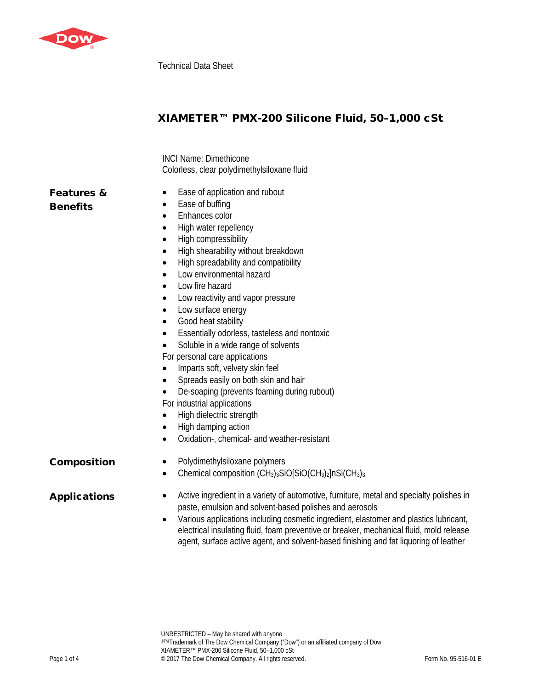

Technical Data Sheet

# XIAMETER™ PMX-200 Silicone Fluid, 50–1,000 cSt

INCI Name: Dimethicone Colorless, clear polydimethylsiloxane fluid

# Features & **Benefits**

- Ease of application and rubout
- Ease of buffing
- Enhances color
- High water repellency
- High compressibility
- High shearability without breakdown
- High spreadability and compatibility
- Low environmental hazard
- Low fire hazard
- Low reactivity and vapor pressure
- Low surface energy
- Good heat stability
- Essentially odorless, tasteless and nontoxic
- Soluble in a wide range of solvents
- For personal care applications
- Imparts soft, velvety skin feel
- Spreads easily on both skin and hair
- De-soaping (prevents foaming during rubout)
- For industrial applications
- High dielectric strength
- High damping action
- Oxidation-, chemical- and weather-resistant

- **Composition** Polydimethylsiloxane polymers
	- Chemical composition  $(CH_3)_3$ SiO[SiO(CH<sub>3</sub>)<sub>2</sub>]nSi(CH<sub>3</sub>)<sub>3</sub>

- Applications Active ingredient in a variety of automotive, furniture, metal and specialty polishes in paste, emulsion and solvent-based polishes and aerosols
	- Various applications including cosmetic ingredient, elastomer and plastics lubricant, electrical insulating fluid, foam preventive or breaker, mechanical fluid, mold release agent, surface active agent, and solvent-based finishing and fat liquoring of leather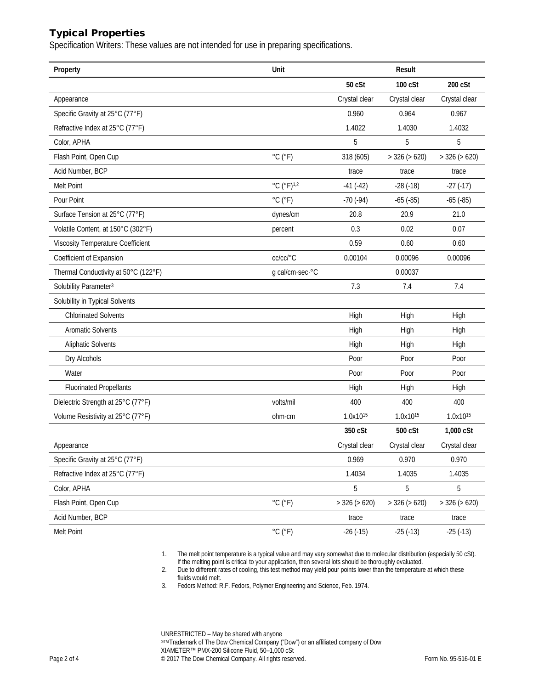## Typical Properties

Specification Writers: These values are not intended for use in preparing specifications.

| Property                                 | Unit                                        |                      | Result               |                      |
|------------------------------------------|---------------------------------------------|----------------------|----------------------|----------------------|
|                                          |                                             | 50 cSt               | 100 cSt              | 200 cSt              |
| Appearance                               |                                             | Crystal clear        | Crystal clear        | Crystal clear        |
| Specific Gravity at 25°C (77°F)          |                                             | 0.960                | 0.964                | 0.967                |
| Refractive Index at 25°C (77°F)          |                                             | 1.4022               | 1.4030               | 1.4032               |
| Color, APHA                              |                                             | 5                    | 5                    | 5                    |
| Flash Point, Open Cup                    | $^{\circ}$ C $(^{\circ}F)$                  | 318 (605)            | $>$ 326 ( $>$ 620)   | $>$ 326 ( $>$ 620)   |
| Acid Number, BCP                         |                                             | trace                | trace                | trace                |
| Melt Point                               | $^{\circ}$ C ( $^{\circ}$ F) <sup>1,2</sup> | $-41(-42)$           | $-28(-18)$           | $-27(-17)$           |
| Pour Point                               | $^{\circ}$ C $(^{\circ}F)$                  | $-70(-94)$           | $-65$ $(-85)$        | $-65$ $(-85)$        |
| Surface Tension at 25°C (77°F)           | dynes/cm                                    | 20.8                 | 20.9                 | 21.0                 |
| Volatile Content, at 150°C (302°F)       | percent                                     | 0.3                  | 0.02                 | 0.07                 |
| <b>Viscosity Temperature Coefficient</b> |                                             | 0.59                 | 0.60                 | 0.60                 |
| Coefficient of Expansion                 | cc/cc/°C                                    | 0.00104              | 0.00096              | 0.00096              |
| Thermal Conductivity at 50°C (122°F)     | g cal/cm·sec·°C                             |                      | 0.00037              |                      |
| Solubility Parameter <sup>3</sup>        |                                             | 7.3                  | 7.4                  | 7.4                  |
| Solubility in Typical Solvents           |                                             |                      |                      |                      |
| <b>Chlorinated Solvents</b>              |                                             | High                 | High                 | High                 |
| <b>Aromatic Solvents</b>                 |                                             | High                 | High                 | High                 |
| <b>Aliphatic Solvents</b>                |                                             | High                 | High                 | High                 |
| Dry Alcohols                             |                                             | Poor                 | Poor                 | Poor                 |
| Water                                    |                                             | Poor                 | Poor                 | Poor                 |
| <b>Fluorinated Propellants</b>           |                                             | High                 | High                 | High                 |
| Dielectric Strength at 25°C (77°F)       | volts/mil                                   | 400                  | 400                  | 400                  |
| Volume Resistivity at 25°C (77°F)        | ohm-cm                                      | 1.0x10 <sup>15</sup> | 1.0x10 <sup>15</sup> | 1.0x10 <sup>15</sup> |
|                                          |                                             | 350 cSt              | 500 cSt              | $1,000$ $cSt$        |
| Appearance                               |                                             | Crystal clear        | Crystal clear        | Crystal clear        |
| Specific Gravity at 25°C (77°F)          |                                             | 0.969                | 0.970                | 0.970                |
| Refractive Index at 25°C (77°F)          |                                             | 1.4034               | 1.4035               | 1.4035               |
| Color, APHA                              |                                             | 5                    | 5                    | 5                    |
| Flash Point, Open Cup                    | $^{\circ}$ C $(^{\circ}F)$                  | $>$ 326 ( $>$ 620)   | $>$ 326 ( $>$ 620)   | $>$ 326 ( $>$ 620)   |
| Acid Number, BCP                         |                                             | trace                | trace                | trace                |
| Melt Point                               | $^{\circ}$ C ( $^{\circ}$ F)                | $-26(-15)$           | $-25(-13)$           | $-25(-13)$           |

1. The melt point temperature is a typical value and may vary somewhat due to molecular distribution (especially 50 cSt). If the melting point is critical to your application, then several lots should be thoroughly evaluated.

2. Due to different rates of cooling, this test method may yield pour points lower than the temperature at which these fluids would melt.

3. Fedors Method: R.F. Fedors, Polymer Engineering and Science, Feb. 1974.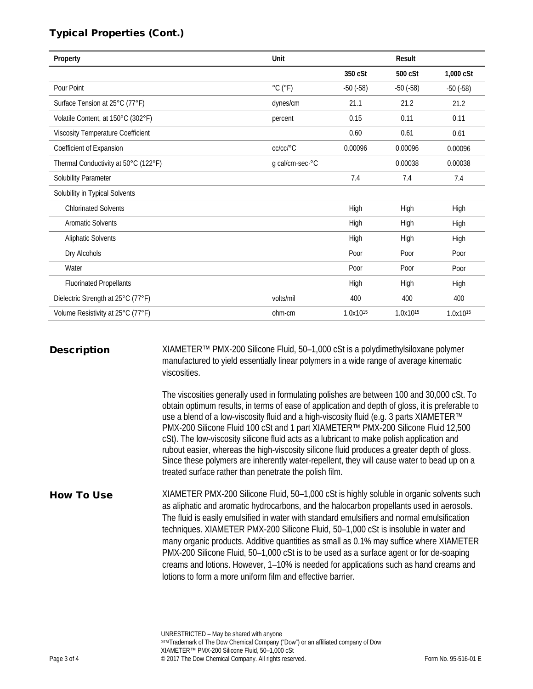# Typical Properties (Cont.)

| Property                                 | Unit                         |                      | Result               |                      |
|------------------------------------------|------------------------------|----------------------|----------------------|----------------------|
|                                          |                              | 350 cSt              | 500 cSt              | 1,000 cSt            |
| Pour Point                               | $^{\circ}$ C ( $^{\circ}$ F) | $-50(-58)$           | $-50(-58)$           | $-50(-58)$           |
| Surface Tension at 25°C (77°F)           | dynes/cm                     | 21.1                 | 21.2                 | 21.2                 |
| Volatile Content, at 150°C (302°F)       | percent                      | 0.15                 | 0.11                 | 0.11                 |
| <b>Viscosity Temperature Coefficient</b> |                              | 0.60                 | 0.61                 | 0.61                 |
| Coefficient of Expansion                 | cc/cc/°C                     | 0.00096              | 0.00096              | 0.00096              |
| Thermal Conductivity at 50°C (122°F)     | g cal/cm-sec-°C              |                      | 0.00038              | 0.00038              |
| Solubility Parameter                     |                              | 7.4                  | 7.4                  | 7.4                  |
| Solubility in Typical Solvents           |                              |                      |                      |                      |
| <b>Chlorinated Solvents</b>              |                              | High                 | High                 | High                 |
| <b>Aromatic Solvents</b>                 |                              | High                 | High                 | High                 |
| <b>Aliphatic Solvents</b>                |                              | High                 | High                 | High                 |
| Dry Alcohols                             |                              | Poor                 | Poor                 | Poor                 |
| Water                                    |                              | Poor                 | Poor                 | Poor                 |
| <b>Fluorinated Propellants</b>           |                              | High                 | High                 | High                 |
| Dielectric Strength at 25°C (77°F)       | volts/mil                    | 400                  | 400                  | 400                  |
| Volume Resistivity at 25°C (77°F)        | ohm-cm                       | 1.0x10 <sup>15</sup> | 1.0x10 <sup>15</sup> | 1.0x10 <sup>15</sup> |

**Description** XIAMETER<sup>™</sup> PMX-200 Silicone Fluid, 50-1,000 cSt is a polydimethylsiloxane polymer manufactured to yield essentially linear polymers in a wide range of average kinematic viscosities.

> The viscosities generally used in formulating polishes are between 100 and 30,000 cSt. To obtain optimum results, in terms of ease of application and depth of gloss, it is preferable to use a blend of a low-viscosity fluid and a high-viscosity fluid (e.g. 3 parts XIAMETER™ PMX-200 Silicone Fluid 100 cSt and 1 part XIAMETER™ PMX-200 Silicone Fluid 12,500 cSt). The low-viscosity silicone fluid acts as a lubricant to make polish application and rubout easier, whereas the high-viscosity silicone fluid produces a greater depth of gloss. Since these polymers are inherently water-repellent, they will cause water to bead up on a treated surface rather than penetrate the polish film.

How To Use XIAMETER PMX-200 Silicone Fluid, 50–1,000 cSt is highly soluble in organic solvents such as aliphatic and aromatic hydrocarbons, and the halocarbon propellants used in aerosols. The fluid is easily emulsified in water with standard emulsifiers and normal emulsification techniques. XIAMETER PMX-200 Silicone Fluid, 50–1,000 cSt is insoluble in water and many organic products. Additive quantities as small as 0.1% may suffice where XIAMETER PMX-200 Silicone Fluid, 50–1,000 cSt is to be used as a surface agent or for de-soaping creams and lotions. However, 1–10% is needed for applications such as hand creams and lotions to form a more uniform film and effective barrier.